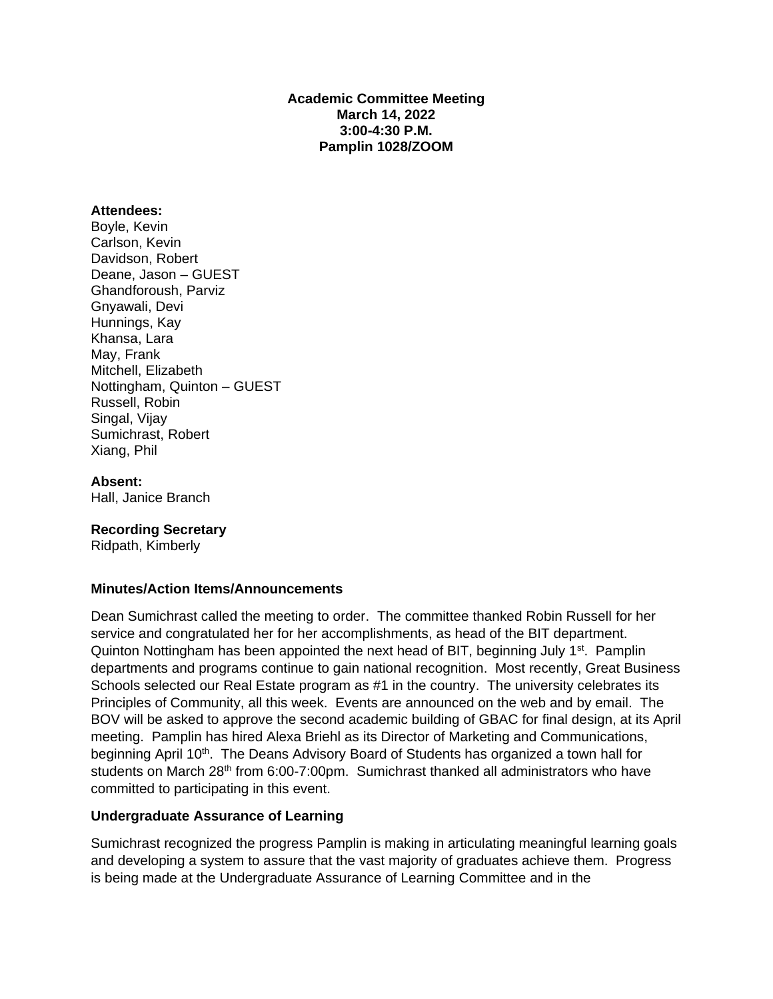**Academic Committee Meeting March 14, 2022 3:00-4:30 P.M. Pamplin 1028/ZOOM** 

#### **Attendees:**

Boyle, Kevin Carlson, Kevin Davidson, Robert Deane, Jason – GUEST Ghandforoush, Parviz Gnyawali, Devi Hunnings, Kay Khansa, Lara May, Frank Mitchell, Elizabeth Nottingham, Quinton – GUEST Russell, Robin Singal, Vijay Sumichrast, Robert Xiang, Phil

#### **Absent:**

Hall, Janice Branch

### **Recording Secretary**

Ridpath, Kimberly

### **Minutes/Action Items/Announcements**

Dean Sumichrast called the meeting to order. The committee thanked Robin Russell for her service and congratulated her for her accomplishments, as head of the BIT department. Quinton Nottingham has been appointed the next head of BIT, beginning July 1<sup>st</sup>. Pamplin departments and programs continue to gain national recognition. Most recently, Great Business Schools selected our Real Estate program as #1 in the country. The university celebrates its Principles of Community, all this week. Events are announced on the web and by email. The BOV will be asked to approve the second academic building of GBAC for final design, at its April meeting. Pamplin has hired Alexa Briehl as its Director of Marketing and Communications, beginning April 10<sup>th</sup>. The Deans Advisory Board of Students has organized a town hall for students on March 28<sup>th</sup> from 6:00-7:00pm. Sumichrast thanked all administrators who have committed to participating in this event.

### **Undergraduate Assurance of Learning**

Sumichrast recognized the progress Pamplin is making in articulating meaningful learning goals and developing a system to assure that the vast majority of graduates achieve them. Progress is being made at the Undergraduate Assurance of Learning Committee and in the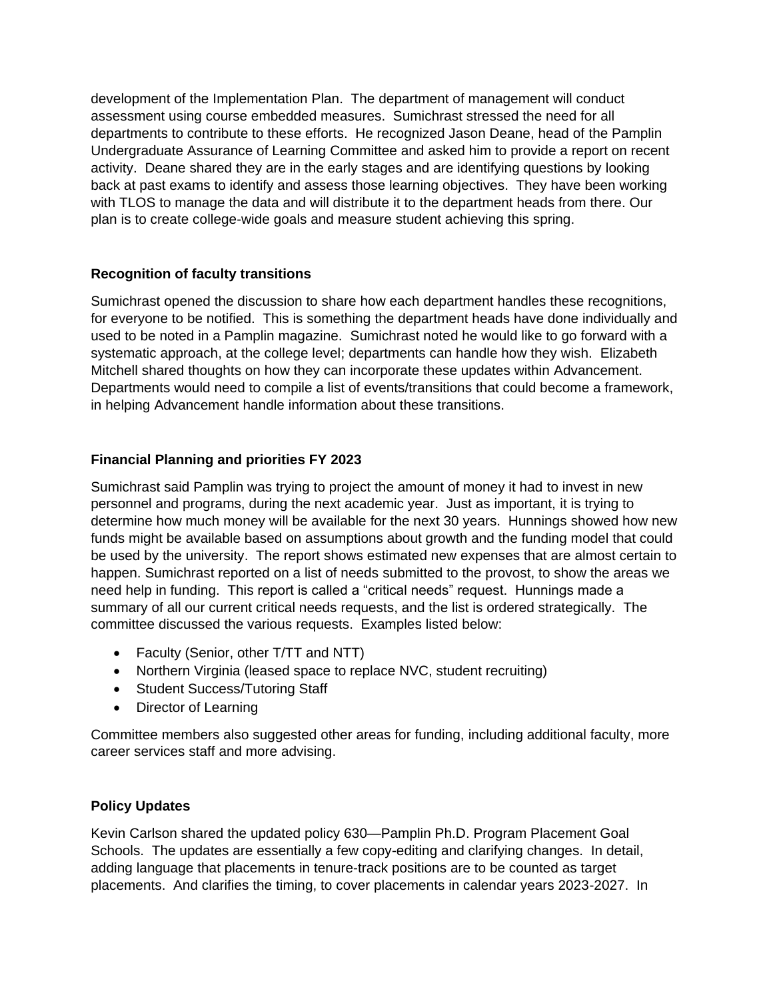development of the Implementation Plan. The department of management will conduct assessment using course embedded measures. Sumichrast stressed the need for all departments to contribute to these efforts. He recognized Jason Deane, head of the Pamplin Undergraduate Assurance of Learning Committee and asked him to provide a report on recent activity. Deane shared they are in the early stages and are identifying questions by looking back at past exams to identify and assess those learning objectives. They have been working with TLOS to manage the data and will distribute it to the department heads from there. Our plan is to create college-wide goals and measure student achieving this spring.

# **Recognition of faculty transitions**

Sumichrast opened the discussion to share how each department handles these recognitions, for everyone to be notified. This is something the department heads have done individually and used to be noted in a Pamplin magazine. Sumichrast noted he would like to go forward with a systematic approach, at the college level; departments can handle how they wish. Elizabeth Mitchell shared thoughts on how they can incorporate these updates within Advancement. Departments would need to compile a list of events/transitions that could become a framework, in helping Advancement handle information about these transitions.

# **Financial Planning and priorities FY 2023**

Sumichrast said Pamplin was trying to project the amount of money it had to invest in new personnel and programs, during the next academic year. Just as important, it is trying to determine how much money will be available for the next 30 years. Hunnings showed how new funds might be available based on assumptions about growth and the funding model that could be used by the university. The report shows estimated new expenses that are almost certain to happen. Sumichrast reported on a list of needs submitted to the provost, to show the areas we need help in funding. This report is called a "critical needs" request. Hunnings made a summary of all our current critical needs requests, and the list is ordered strategically. The committee discussed the various requests. Examples listed below:

- Faculty (Senior, other T/TT and NTT)
- Northern Virginia (leased space to replace NVC, student recruiting)
- Student Success/Tutoring Staff
- Director of Learning

Committee members also suggested other areas for funding, including additional faculty, more career services staff and more advising.

## **Policy Updates**

Kevin Carlson shared the updated policy 630—Pamplin Ph.D. Program Placement Goal Schools. The updates are essentially a few copy-editing and clarifying changes. In detail, adding language that placements in tenure-track positions are to be counted as target placements. And clarifies the timing, to cover placements in calendar years 2023-2027. In